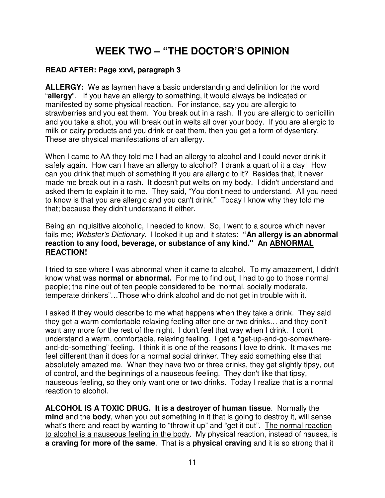## **WEEK TWO – "THE DOCTOR'S OPINION**

## **READ AFTER: Page xxvi, paragraph 3**

**ALLERGY:** We as laymen have a basic understanding and definition for the word "**allergy**". If you have an allergy to something, it would always be indicated or manifested by some physical reaction. For instance, say you are allergic to strawberries and you eat them. You break out in a rash. If you are allergic to penicillin and you take a shot, you will break out in welts all over your body. If you are allergic to milk or dairy products and you drink or eat them, then you get a form of dysentery. These are physical manifestations of an allergy.

When I came to AA they told me I had an allergy to alcohol and I could never drink it safely again. How can I have an allergy to alcohol? I drank a quart of it a day! How can you drink that much of something if you are allergic to it? Besides that, it never made me break out in a rash. It doesn't put welts on my body. I didn't understand and asked them to explain it to me. They said, "You don't need to understand. All you need to know is that you are allergic and you can't drink." Today I know why they told me that; because they didn't understand it either.

Being an inquisitive alcoholic, I needed to know. So, I went to a source which never fails me; Webster's Dictionary. I looked it up and it states: **"An allergy is an abnormal reaction to any food, beverage, or substance of any kind." An ABNORMAL REACTION!** 

I tried to see where I was abnormal when it came to alcohol. To my amazement, I didn't know what was **normal or abnormal.** For me to find out, I had to go to those normal people; the nine out of ten people considered to be "normal, socially moderate, temperate drinkers"…Those who drink alcohol and do not get in trouble with it.

I asked if they would describe to me what happens when they take a drink. They said they get a warm comfortable relaxing feeling after one or two drinks… and they don't want any more for the rest of the night. I don't feel that way when I drink. I don't understand a warm, comfortable, relaxing feeling. I get a "get-up-and-go-somewhereand-do-something" feeling. I think it is one of the reasons I love to drink. It makes me feel different than it does for a normal social drinker. They said something else that absolutely amazed me. When they have two or three drinks, they get slightly tipsy, out of control, and the beginnings of a nauseous feeling. They don't like that tipsy, nauseous feeling, so they only want one or two drinks. Today I realize that is a normal reaction to alcohol.

**ALCOHOL IS A TOXIC DRUG. It is a destroyer of human tissue**. Normally the **mind** and the **body**, when you put something in it that is going to destroy it, will sense what's there and react by wanting to "throw it up" and "get it out". The normal reaction to alcohol is a nauseous feeling in the body. My physical reaction, instead of nausea, is **a craving for more of the same**. That is a **physical craving** and it is so strong that it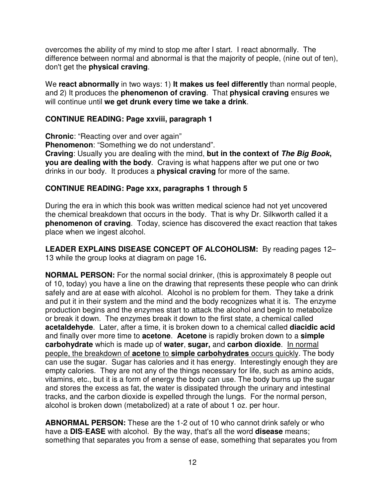overcomes the ability of my mind to stop me after I start. I react abnormally. The difference between normal and abnormal is that the majority of people, (nine out of ten), don't get the **physical craving**.

We **react abnormally** in two ways: 1) **It makes us feel differently** than normal people, and 2) It produces the **phenomenon of craving**. That **physical craving** ensures we will continue until **we get drunk every time we take a drink**.

#### **CONTINUE READING: Page xxviii, paragraph 1**

**Chronic**: "Reacting over and over again" **Phenomenon**: "Something we do not understand". **Craving**: Usually you are dealing with the mind, **but in the context of The Big Book, you are dealing with the body**. Craving is what happens after we put one or two drinks in our body. It produces a **physical craving** for more of the same.

#### **CONTINUE READING: Page xxx, paragraphs 1 through 5**

During the era in which this book was written medical science had not yet uncovered the chemical breakdown that occurs in the body. That is why Dr. Silkworth called it a **phenomenon of craving**. Today, science has discovered the exact reaction that takes place when we ingest alcohol.

**LEADER EXPLAINS DISEASE CONCEPT OF ALCOHOLISM:** By reading pages 12– 13 while the group looks at diagram on page 16**.**

**NORMAL PERSON:** For the normal social drinker, (this is approximately 8 people out of 10, today) you have a line on the drawing that represents these people who can drink safely and are at ease with alcohol. Alcohol is no problem for them. They take a drink and put it in their system and the mind and the body recognizes what it is. The enzyme production begins and the enzymes start to attack the alcohol and begin to metabolize or break it down. The enzymes break it down to the first state, a chemical called **acetaldehyde**. Later, after a time, it is broken down to a chemical called **diacidic acid** and finally over more time to **acetone**. **Acetone** is rapidly broken down to a **simple carbohydrate** which is made up of **water**, **sugar,** and **carbon dioxide**. In normal people, the breakdown of **acetone** to **simple carbohydrates** occurs quickly. The body can use the sugar. Sugar has calories and it has energy. Interestingly enough they are empty calories. They are not any of the things necessary for life, such as amino acids, vitamins, etc., but it is a form of energy the body can use. The body burns up the sugar and stores the excess as fat, the water is dissipated through the urinary and intestinal tracks, and the carbon dioxide is expelled through the lungs. For the normal person, alcohol is broken down (metabolized) at a rate of about 1 oz. per hour.

**ABNORMAL PERSON:** These are the 1-2 out of 10 who cannot drink safely or who have a **DIS**-**EASE** with alcohol. By the way, that's all the word **disease** means; something that separates you from a sense of ease, something that separates you from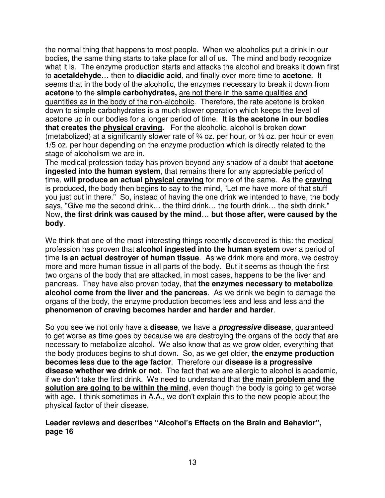the normal thing that happens to most people. When we alcoholics put a drink in our bodies, the same thing starts to take place for all of us. The mind and body recognize what it is. The enzyme production starts and attacks the alcohol and breaks it down first to **acetaldehyde**… then to **diacidic acid**, and finally over more time to **acetone**. It seems that in the body of the alcoholic, the enzymes necessary to break it down from **acetone** to the **simple carbohydrates,** are not there in the same qualities and quantities as in the body of the non-alcoholic. Therefore, the rate acetone is broken down to simple carbohydrates is a much slower operation which keeps the level of acetone up in our bodies for a longer period of time. **It is the acetone in our bodies that creates the physical craving.** For the alcoholic, alcohol is broken down (metabolized) at a significantly slower rate of  $\frac{3}{4}$  oz. per hour, or  $\frac{1}{2}$  oz. per hour or even 1/5 oz. per hour depending on the enzyme production which is directly related to the stage of alcoholism we are in.

The medical profession today has proven beyond any shadow of a doubt that **acetone ingested into the human system**, that remains there for any appreciable period of time, **will produce an actual physical craving** for more of the same. As the **craving** is produced, the body then begins to say to the mind, "Let me have more of that stuff you just put in there." So, instead of having the one drink we intended to have, the body says, "Give me the second drink... the third drink... the fourth drink... the sixth drink." Now, **the first drink was caused by the mind**… **but those after, were caused by the body**.

We think that one of the most interesting things recently discovered is this: the medical profession has proven that **alcohol ingested into the human system** over a period of time **is an actual destroyer of human tissue**. As we drink more and more, we destroy more and more human tissue in all parts of the body. But it seems as though the first two organs of the body that are attacked, in most cases, happens to be the liver and pancreas. They have also proven today, that **the enzymes necessary to metabolize alcohol come from the liver and the pancreas**. As we drink we begin to damage the organs of the body, the enzyme production becomes less and less and less and the **phenomenon of craving becomes harder and harder and harder**.

So you see we not only have a **disease**, we have a **progressive disease**, guaranteed to get worse as time goes by because we are destroying the organs of the body that are necessary to metabolize alcohol. We also know that as we grow older, everything that the body produces begins to shut down. So, as we get older, **the enzyme production becomes less due to the age factor**. Therefore our **disease is a progressive disease whether we drink or not**. The fact that we are allergic to alcohol is academic, if we don't take the first drink. We need to understand that **the main problem and the solution are going to be within the mind**, even though the body is going to get worse with age. I think sometimes in A.A., we don't explain this to the new people about the physical factor of their disease.

#### **Leader reviews and describes "Alcohol's Effects on the Brain and Behavior", page 16**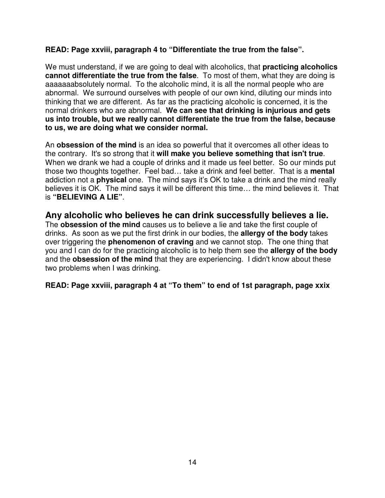#### **READ: Page xxviii, paragraph 4 to "Differentiate the true from the false".**

We must understand, if we are going to deal with alcoholics, that **practicing alcoholics cannot differentiate the true from the false**. To most of them, what they are doing is aaaaaaabsolutely normal. To the alcoholic mind, it is all the normal people who are abnormal. We surround ourselves with people of our own kind, diluting our minds into thinking that we are different. As far as the practicing alcoholic is concerned, it is the normal drinkers who are abnormal. **We can see that drinking is injurious and gets us into trouble, but we really cannot differentiate the true from the false, because to us, we are doing what we consider normal.**

An **obsession of the mind** is an idea so powerful that it overcomes all other ideas to the contrary. It's so strong that it **will make you believe something that isn't true**. When we drank we had a couple of drinks and it made us feel better. So our minds put those two thoughts together. Feel bad… take a drink and feel better. That is a **mental** addiction not a **physical** one. The mind says it's OK to take a drink and the mind really believes it is OK. The mind says it will be different this time… the mind believes it. That is **"BELIEVING A LIE"**.

## **Any alcoholic who believes he can drink successfully believes a lie.**

The **obsession of the mind** causes us to believe a lie and take the first couple of drinks. As soon as we put the first drink in our bodies, the **allergy of the body** takes over triggering the **phenomenon of craving** and we cannot stop. The one thing that you and I can do for the practicing alcoholic is to help them see the **allergy of the body** and the **obsession of the mind** that they are experiencing. I didn't know about these two problems when I was drinking.

**READ: Page xxviii, paragraph 4 at "To them" to end of 1st paragraph, page xxix**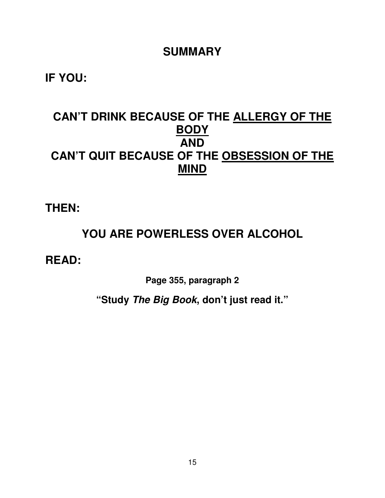## **SUMMARY**

**IF YOU:** 

# **CAN'T DRINK BECAUSE OF THE ALLERGY OF THE BODY AND CAN'T QUIT BECAUSE OF THE OBSESSION OF THE MIND**

**THEN:** 

# **YOU ARE POWERLESS OVER ALCOHOL**

**READ:** 

**Page 355, paragraph 2** 

**"Study The Big Book, don't just read it."**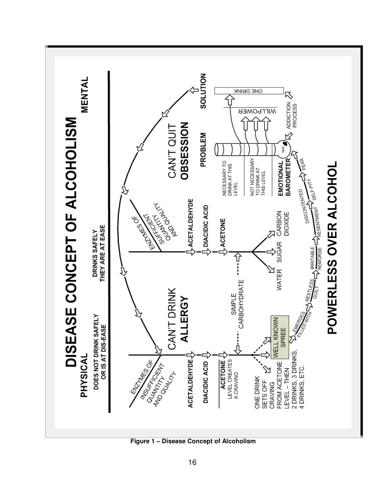

 **Figure 1 – Disease Concept of Alcoholism**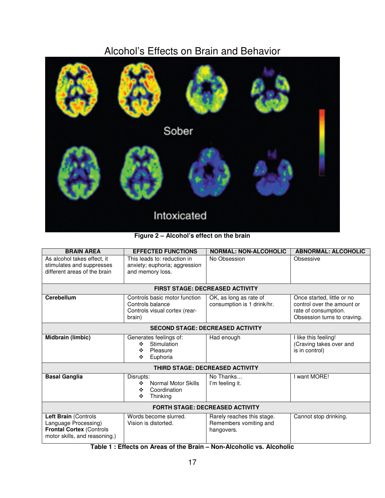# Alcohol's Effects on Brain and Behavior



#### **Figure 2 – Alcohol's effect on the brain**

| <b>BRAIN AREA</b>                                                                                                | <b>EFFECTED FUNCTIONS</b>                                                                    | <b>NORMAL: NON-ALCOHOLIC</b>                                       | <b>ABNORMAL: ALCOHOLIC</b>                                                                                      |
|------------------------------------------------------------------------------------------------------------------|----------------------------------------------------------------------------------------------|--------------------------------------------------------------------|-----------------------------------------------------------------------------------------------------------------|
| As alcohol takes effect, it<br>stimulates and suppresses<br>different areas of the brain                         | This leads to: reduction in<br>anxiety; euphoria; aggression<br>and memory loss.             | No Obsession                                                       | Obsessive                                                                                                       |
| <b>FIRST STAGE: DECREASED ACTIVITY</b>                                                                           |                                                                                              |                                                                    |                                                                                                                 |
| <b>Cerebellum</b>                                                                                                | Controls basic motor function<br>Controls balance<br>Controls visual cortex (rear-<br>brain) | OK, as long as rate of<br>consumption is 1 drink/hr.               | Once started, little or no<br>control over the amount or<br>rate of consumption.<br>Obsession turns to craving. |
| <b>SECOND STAGE: DECREASED ACTIVITY</b>                                                                          |                                                                                              |                                                                    |                                                                                                                 |
| <b>Midbrain (limbic)</b>                                                                                         | Generates feelings of:<br>Stimulation<br>÷<br>Pleasure<br>❖<br>Euphoria<br>❖                 | Had enough                                                         | I like this feeling!<br>(Craving takes over and<br>is in control)                                               |
| <b>THIRD STAGE: DECREASED ACTIVITY</b>                                                                           |                                                                                              |                                                                    |                                                                                                                 |
| <b>Basal Ganglia</b>                                                                                             | Disrupts:<br>Normal Motor Skills<br>❖<br>Coordination<br>❖<br>Thinking<br>❖                  | No Thanks<br>I'm feeling it.                                       | I want MORE!                                                                                                    |
| <b>FORTH STAGE: DECREASED ACTIVITY</b>                                                                           |                                                                                              |                                                                    |                                                                                                                 |
| Left Brain (Controls<br>Language Processing)<br><b>Frontal Cortex (Controls</b><br>motor skills, and reasoning.) | Words become slurred.<br>Vision is distorted.                                                | Rarely reaches this stage.<br>Remembers vomiting and<br>hangovers. | Cannot stop drinking.                                                                                           |

**Table 1 : Effects on Areas of the Brain – Non-Alcoholic vs. Alcoholic**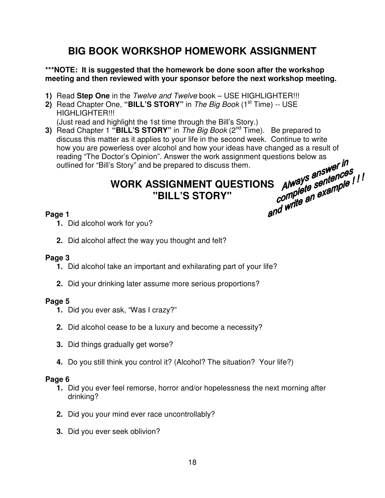## **BIG BOOK WORKSHOP HOMEWORK ASSIGNMENT**

#### **\*\*\*NOTE: It is suggested that the homework be done soon after the workshop meeting and then reviewed with your sponsor before the next workshop meeting.**

- **1)** Read **Step One** in the Twelve and Twelve book USE HIGHLIGHTER!!!
- **2)** Read Chapter One, "**BILL'S STORY**" in *The Big Book* (1<sup>st</sup> Time) -- USE HIGHLIGHTER!!! (Just read and highlight the 1st time through the Bill's Story.)
- **3)** Read Chapter 1 "BILL'S STORY" in *The Big Book* (2<sup>nd</sup> Time). Be prepared to discuss this matter as it applies to your life in the second week. Continue to write how you are powerless over alcohol and how your ideas have changed as a result of reading "The Doctor's Opinion". Answer the work assignment questions below as outlined for "Bill's Story" and be prepared to discuss them.

# **WORK ASSIGNMENT QUESTIONS "BILL'S STORY"**

### **Page 1**

- **1.** Did alcohol work for you?
- **2.** Did alcohol affect the way you thought and felt?

## **Page 3**

- **1.** Did alcohol take an important and exhilarating part of your life?
- **2.** Did your drinking later assume more serious proportions?

## **Page 5**

- **1.** Did you ever ask, "Was I crazy?"
- **2.** Did alcohol cease to be a luxury and become a necessity?
- **3.** Did things gradually get worse?
- **4.** Do you still think you control it? (Alcohol? The situation? Your life?)

#### **Page 6**

- **1.** Did you ever feel remorse, horror and/or hopelessness the next morning after drinking?
- **2.** Did you your mind ever race uncontrollably?
- **3.** Did you ever seek oblivion?